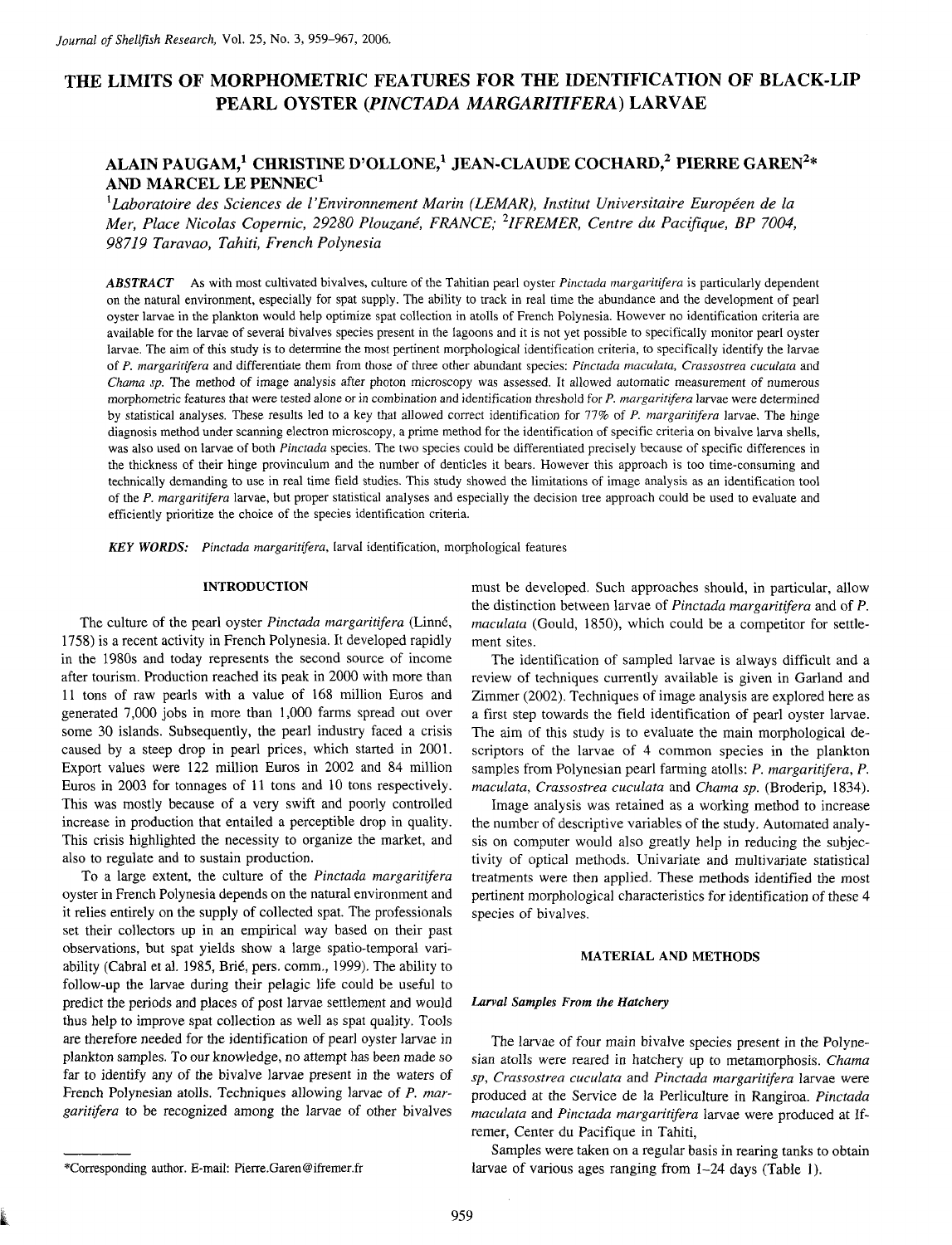# THE LIMITS OF MORPHOMETRIC FEATURES FOR THE IDENTIFICATION OF BLACK-LIP **PEAR L OYSTER** *(PINCTADA MARGAR1T1FERA)* **LARVA E**

# $\mathbf{ALAIN}$  PAUGAM, $\mathbf{1}$  CHRISTINE D'OLLONE, $\mathbf{1}$  JEAN-CLAUDE COCHARD, $\mathbf{2}$  PIERRE GAREN $\mathbf{2}^*$ **AND MARCEL LE PENNEC<sup>1</sup>**

<sup>1</sup>Laboratoire des Sciences de l'Environnement Marin (LEMAR), Institut Universitaire Européen de la *Mer, Place Nicolas Copernic, 29280 Plouzane, FRANCE;<sup>2</sup>IFREMER, Centre du Pacifique, BP 7004, 98719 Taravao, Tahiti, French Polynesia* 

*ABSTRACT* As with most cultivated bivalves, culture of the Tahitian pearl oyster *Pinctada margaritifera* is particularly dependent on the natural environment, especially for spat supply. The ability to track in real time the abundance and the development of pearl oyster larvae in the plankton would help optimize spat collection in atolls of French Polynesia. However no identification criteria are available for the larvae of several bivalves species present in the lagoons and it is not yet possible to specifically monitor pearl oyster larvae. The aim of this study is to determine the most pertinent morphological identification criteria, to specifically identify the larvae of *P. margaritifera* and differentiate them from those of three other abundant species: *Pinctada maculata, Crassostrea cuculata* and *Omnia sp.* The method of image analysis after photon microscopy was assessed. It allowed automatic measurement of numerous morphometric features that were tested alone or in combination and identification threshold for *P. margaritifera* larvae were determined by statistical analyses. These results led to a key that allowed correct identification for 77% of *P. margaritifera* larvae. The hinge diagnosis method under scanning electron microscopy, a prime method for the identification of specific criteria on bivalve larva shells, was also used on larvae of both *Pinctada* species. The two species could be differentiated precisely because of specific differences in the thickness of their hinge provinculum and the number of denticles it bears. However this approach is too time-consuming and technically demanding to use in real time field studies. This study showed the limitations of image analysis as an identification tool of the *P. margaritifera* larvae, but proper statistical analyses and especially the decision tree approach could be used to evaluate and efficiently prioritize the choice of the species identification criteria.

*KEY WORDS: Pinctada margaritifera,* larval identification, morphological features

# **INTRODUCTION**

The culture of the pearl oyster *Pinctada margaritifera* (Linne, 1758) is a recent activity in French Polynesia. It developed rapidly in the 1980s and today represents the second source of income after tourism. Production reached its peak in 2000 with more than 11 tons of raw pearls with a value of 168 million Euros and generated 7,000 jobs in more than 1,000 farms spread out over some 30 islands. Subsequently, the pearl industry faced a crisis caused by a steep drop in pearl prices, which started in 2001. Export values were 122 million Euros in 2002 and 84 million Euros in 2003 for tonnages of 11 tons and 10 tons respectively. This was mostly because of a very swift and poorly controlled increase in production that entailed a perceptible drop in quality. This crisis highlighted the necessity to organize the market, and also to regulate and to sustain production.

To a large extent, the culture of the *Pinctada margaritifera*  oyster in French Polynesia depends on the natural environment and it relies entirely on the supply of collected spat. The professionals set their collectors up in an empirical way based on their past observations, but spat yields show a large spatio-temporal variability (Cabral et al. 1985, Brié, pers. comm., 1999). The ability to follow-up the larvae during their pelagic life could be useful to predict the periods and places of post larvae settlement and would thus help to improve spat collection as well as spat quality. Tools are therefore needed for the identification of pearl oyster larvae in plankton samples. To our knowledge, no attempt has been made so far to identify any of the bivalve larvae present in the waters of French Polynesian atolls. Techniques allowing larvae of *P. margaritifera* to be recognized among the larvae of other bivalves

\*Corresponding author. E-mail: [Pierre.Garen@ifremer.fr](mailto:Pierre.Garen@ifremer.fr)

must be developed. Such approaches should, in particular, allow the distinction between larvae of *Pinctada margaritifera* and of *P. maculata* (Gould, 1850), which could be a competitor for settlement sites.

The identification of sampled larvae is always difficult and a review of techniques currently available is given in Garland and Zimmer (2002). Techniques of image analysis are explored here as a first step towards the field identification of pearl oyster larvae. The aim of this study is to evaluate the main morphological descriptors of the larvae of 4 common species in the plankton samples from Polynesian pearl farming atolls: *P. margaritifera, P. maculata, Crassostrea cuculata* and *Chama sp.* (Broderip, 1834).

Image analysis was retained as a working method to increase the number of descriptive variables of the study. Automated analysis on computer would also greatly help in reducing the subjectivity of optical methods. Univariate and multivariate statistical treatments were then applied. These methods identified the most pertinent morphological characteristics for identification of these 4 species of bivalves.

# MATERIAL AND METHODS

#### *Larval Samples From the Hatchery*

The larvae of four main bivalve species present in the Polynesian atolls were reared in hatchery up to metamorphosis. *Chama sp, Crassostrea cuculata* and *Pinctada margaritifera* larvae were produced at the Service de la Perliculture in Rangiroa. *Pinctada maculata* and *Pinctada margaritifera* larvae were produced at Ifremer, Center du Pacifique in Tahiti,

Samples were taken on a regular basis in rearing tanks to obtain larvae of various ages ranging from 1-24 days (Table 1).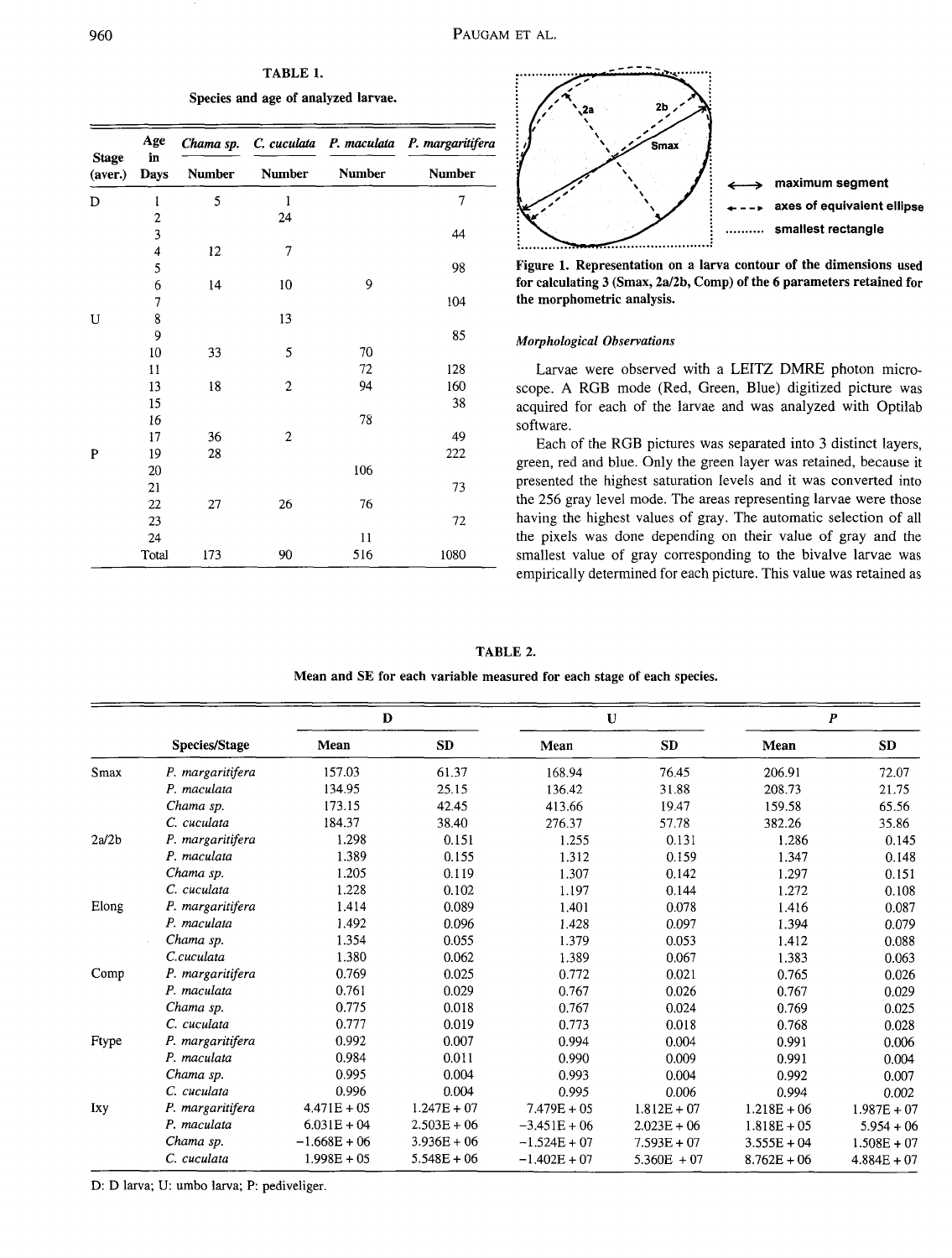**TABLE 1.** 

|  |  |  |  | Species and age of analyzed larvae. |  |
|--|--|--|--|-------------------------------------|--|
|--|--|--|--|-------------------------------------|--|

|                         | Age                     | Chama sp.     |                  |               | C. cuculata P. maculata P. margaritifera |
|-------------------------|-------------------------|---------------|------------------|---------------|------------------------------------------|
| <b>Stage</b><br>(aver.) | in<br>Days              | <b>Number</b> | <b>Number</b>    | <b>Number</b> | <b>Number</b>                            |
| D                       | $\mathbf{1}$            | 5             | 1                |               | 7                                        |
|                         | $\overline{\mathbf{c}}$ |               | 24               |               |                                          |
|                         | 3                       |               |                  |               | 44                                       |
|                         | 4                       | 12            | $\overline{7}$   |               |                                          |
|                         | 5                       |               |                  |               | 98                                       |
|                         | 6                       | 14            | 10               | 9             |                                          |
|                         | 7                       |               |                  |               | 104                                      |
| U                       | 8                       |               | 13               |               |                                          |
|                         | 9                       |               |                  |               | 85                                       |
|                         | 10                      | 33            | 5                | 70            |                                          |
|                         | 11                      |               |                  | 72            | 128                                      |
|                         | 13                      | 18            | $\overline{c}$   | 94            | 160                                      |
|                         | 15                      |               |                  |               | 38                                       |
|                         | 16                      |               |                  | 78            |                                          |
|                         | 17                      | 36            | $\boldsymbol{2}$ |               | 49                                       |
| P                       | 19                      | 28            |                  |               | 222                                      |
|                         | 20                      |               |                  | 106           |                                          |
|                         | 21                      |               |                  |               | 73                                       |
|                         | 22                      | 27            | 26               | 76            |                                          |
|                         | 23                      |               |                  |               | 72                                       |
|                         | 24                      |               |                  | $_{11}$       |                                          |
|                         | Total                   | 173           | 90               | 516           | 1080                                     |



**Figure 1. Representation on a larva contour of the dimensions used for calculating 3 (Smax, 2a/2b, Comp) of the 6 parameters retained for the morphometric analysis.** 

### *Morphological Observations*

Larvae were observed with a LEITZ DMRE photon microscope. A RGB mode (Red, Green, Blue) digitized picture was acquired for each of the larvae and was analyzed with Optilab software.

Each of the RGB pictures was separated into 3 distinct layers, green, red and blue. Only the green layer was retained, because it presented the highest saturation levels and it was converted into the 256 gray level mode. The areas representing larvae were those having the highest values of gray. The automatic selection of all the pixels was done depending on their value of gray and the smallest value of gray corresponding to the bivalve larvae was empirically determined for each picture. This value was retained as

**TABLE 2. Mean and SE for each variable measured for each** stage **of each species.** 

|       |                      | D              |               | $\mathbf{U}$   |               | $\boldsymbol{P}$ |               |
|-------|----------------------|----------------|---------------|----------------|---------------|------------------|---------------|
|       | <b>Species/Stage</b> | Mean           | <b>SD</b>     | Mean           | <b>SD</b>     | Mean             | <b>SD</b>     |
| Smax  | P. margaritifera     | 157.03         | 61.37         | 168.94         | 76.45         | 206.91           | 72.07         |
|       | P. maculata          | 134.95         | 25.15         | 136.42         | 31.88         | 208.73           | 21.75         |
|       | Chama sp.            | 173.15         | 42.45         | 413.66         | 19.47         | 159.58           | 65.56         |
|       | C. cuculata          | 184.37         | 38.40         | 276.37         | 57.78         | 382.26           | 35.86         |
| 2a/2b | P. margaritifera     | 1.298          | 0.151         | 1.255          | 0.131         | 1.286            | 0.145         |
|       | P. maculata          | 1.389          | 0.155         | 1.312          | 0.159         | 1.347            | 0.148         |
|       | Chama sp.            | 1.205          | 0.119         | 1.307          | 0.142         | 1.297            | 0.151         |
|       | C. cuculata          | 1.228          | 0.102         | 1.197          | 0.144         | 1.272            | 0.108         |
| Elong | P. margaritifera     | 1.414          | 0.089         | 1.401          | 0.078         | 1.416            | 0.087         |
|       | P. maculata          | 1.492          | 0.096         | 1.428          | 0.097         | 1.394            | 0.079         |
|       | Chama sp.            | 1.354          | 0.055         | 1.379          | 0.053         | 1.412            | 0.088         |
|       | C.cuculata           | 1.380          | 0.062         | 1.389          | 0.067         | 1.383            | 0.063         |
| Comp  | P. margaritifera     | 0.769          | 0.025         | 0.772          | 0.021         | 0.765            | 0.026         |
|       | P maculata           | 0.761          | 0.029         | 0.767          | 0.026         | 0.767            | 0.029         |
|       | Chama sp.            | 0.775          | 0.018         | 0.767          | 0.024         | 0.769            | 0.025         |
|       | C. cuculata          | 0.777          | 0.019         | 0.773          | 0.018         | 0.768            | 0.028         |
| Ftype | P. margaritifera     | 0.992          | 0.007         | 0.994          | 0.004         | 0.991            | 0.006         |
|       | P. maculata          | 0.984          | 0.011         | 0.990          | 0.009         | 0.991            | 0.004         |
|       | Chama sp.            | 0.995          | 0.004         | 0.993          | 0.004         | 0.992            | 0.007         |
|       | C. cuculata          | 0.996          | 0.004         | 0.995          | 0.006         | 0.994            | 0.002         |
| Ixy   | P. margaritifera     | $4.471E + 05$  | $1.247E + 07$ | $7.479E + 0.5$ | $1.812E + 07$ | $1.218E + 06$    | $1.987E + 07$ |
|       | P. maculata          | $6.031E + 04$  | $2.503E + 06$ | $-3.451E + 06$ | $2.023E + 06$ | $1.818E + 05$    | $5.954 + 06$  |
|       | Chama sp.            | $-1.668E + 06$ | $3.936E + 06$ | $-1.524E + 07$ | $7.593E + 07$ | $3.555E + 04$    | $1.508E + 07$ |
|       | C. cuculata          | $1.998E + 05$  | $5.548E + 06$ | $-1.402E + 07$ | $5.360E + 07$ | $8.762E + 06$    | $4.884E + 07$ |

D: **D** larva; U: umbo larva; P; pediveliger.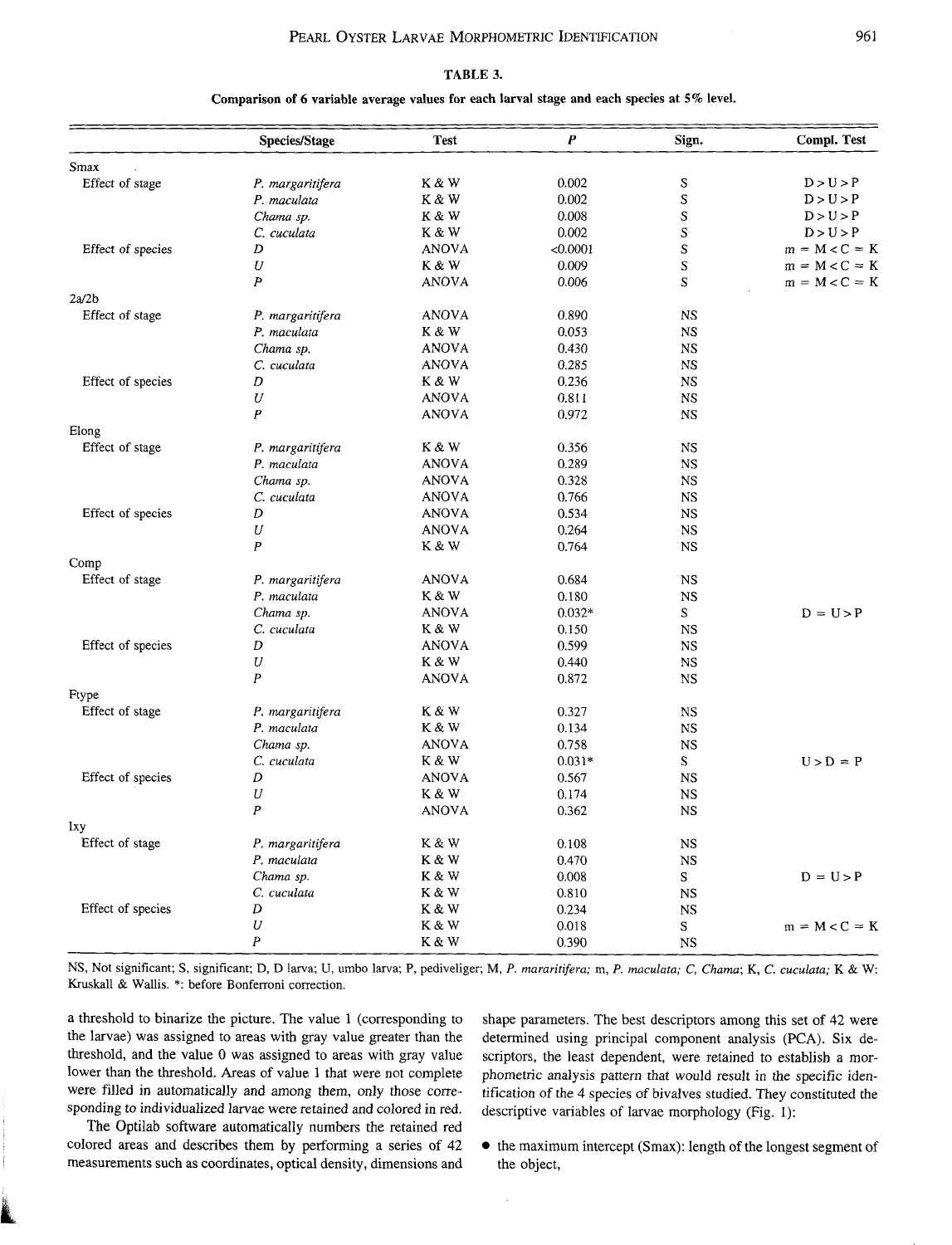# TABLE 3.

### Comparison of 6 variable average values for each larval stage and each species at 5% level.

|                   | Species/Stage    | <b>Test</b>  | P        | Sign.       | Compl. Test     |
|-------------------|------------------|--------------|----------|-------------|-----------------|
| Smax              |                  |              |          |             |                 |
| Effect of stage   | P. margaritifera | K & W        | 0.002    | S           | D > U > P       |
|                   | P. maculata      | K & W        | 0.002    | $\rm S$     | D > U > P       |
|                   | Chama sp.        | K & W        | 0.008    | S           | D > U > P       |
|                   | C. cuculata      | K & W        | 0.002    | S           | D > U > P       |
| Effect of species | D                | <b>ANOVA</b> | < 0.0001 | ${\bf S}$   | $m = M < C = K$ |
|                   | U                | K & W        | 0.009    | S           | $m = M < C = K$ |
|                   | $\boldsymbol{P}$ | <b>ANOVA</b> | 0.006    | S           | $m = M < C = K$ |
| 2a/2b             |                  |              |          |             |                 |
| Effect of stage   | P. margaritifera | <b>ANOVA</b> | 0.890    | NS.         |                 |
|                   | P. maculata      | K & W        | 0.053    | NS.         |                 |
|                   | Chama sp.        | <b>ANOVA</b> | 0.430    | $_{NS}$     |                 |
|                   | C. cuculata      | <b>ANOVA</b> | 0.285    | <b>NS</b>   |                 |
| Effect of species | D                | K & W        | 0.236    | NS.         |                 |
|                   | U                | <b>ANOVA</b> | 0.811    | <b>NS</b>   |                 |
|                   | $\boldsymbol{P}$ | <b>ANOVA</b> | 0.972    | <b>NS</b>   |                 |
| Elong             |                  |              |          |             |                 |
| Effect of stage   | P. margaritifera | K & W        | 0.356    | <b>NS</b>   |                 |
|                   | P. maculata      | <b>ANOVA</b> | 0.289    | NS.         |                 |
|                   | Chama sp.        | <b>ANOVA</b> | 0.328    | NS          |                 |
|                   | C. cuculata      | <b>ANOVA</b> | 0.766    | <b>NS</b>   |                 |
| Effect of species | D                | <b>ANOVA</b> | 0.534    | <b>NS</b>   |                 |
|                   | $\boldsymbol{U}$ | <b>ANOVA</b> | 0.264    | <b>NS</b>   |                 |
|                   | $\boldsymbol{P}$ | K & W        | 0.764    | <b>NS</b>   |                 |
| Comp              |                  |              |          |             |                 |
| Effect of stage   | P. margaritifera | <b>ANOVA</b> | 0.684    | <b>NS</b>   |                 |
|                   | P. maculata      | K & W        | 0.180    | <b>NS</b>   |                 |
|                   | Chama sp.        | <b>ANOVA</b> | $0.032*$ | S           | $D = U > P$     |
|                   | C. cuculata      | K & W        | 0.150    | <b>NS</b>   |                 |
| Effect of species | D                | <b>ANOVA</b> | 0.599    | NS.         |                 |
|                   | U                | K & W        | 0.440    | <b>NS</b>   |                 |
|                   | $\boldsymbol{P}$ | <b>ANOVA</b> | 0.872    | NS          |                 |
| Ftype             |                  |              |          |             |                 |
| Effect of stage   | P. margaritifera | K & W        | 0.327    | NS.         |                 |
|                   | P. maculata      | K & W        | 0.134    | <b>NS</b>   |                 |
|                   | Chama sp.        | <b>ANOVA</b> | 0.758    | <b>NS</b>   |                 |
|                   | C. cuculata      | K & W        | $0.031*$ | S.          | $U > D = P$     |
| Effect of species | D                | <b>ANOVA</b> | 0.567    | <b>NS</b>   |                 |
|                   | U                | K & W        | 0.174    | NS.         |                 |
|                   | $\boldsymbol{P}$ | <b>ANOVA</b> | 0.362    | NS.         |                 |
| Ixy               |                  |              |          |             |                 |
| Effect of stage   | P. margaritifera | K & W        | 0.108    | <b>NS</b>   |                 |
|                   | P. maculata      | K & W        | 0.470    | $_{\rm NS}$ |                 |
|                   | Chama sp.        | K & W        | 0.008    | S.          | $D = U > P$     |
|                   | C. cuculata      | K & W        | 0.810    | NS          |                 |
| Effect of species | D                | K & W        | 0.234    | <b>NS</b>   |                 |
|                   | $\boldsymbol{U}$ | K & W        | 0.018    | S           | $m = M < C = K$ |
|                   | $\boldsymbol{P}$ | K & W        | 0.390    | $_{\rm NS}$ |                 |

NS, Not significant; S, significant; D, D larva; U, umbo larva; P, pediveliger; M, *P. mararitifera;* m, *P. maculata; C, Chama;* K, *C. cuculata;* K&W: Kruskall & Wallis. \*: before Bonferroni correction.

a threshold to binarize the picture. The value 1 (corresponding to the larvae) was assigned to areas with gray value greater than the threshold, and the value 0 was assigned to areas with gray value lower than the threshold. Areas of value 1 that were not complete were filled in automatically and among them, only those corresponding to individualized larvae were retained and colored in red.

shape parameters. The best descriptors among this set of 42 were determined using principal component analysis (PCA). Six descriptors, the least dependent, were retained to establish a morphometric analysis pattern that would result in the specific identification of the 4 species of bivalves studied. They constituted the descriptive variables of larvae morphology (Fig. 1):

The Optilab software automatically numbers the retained red colored areas and describes them by performing a series of 42 measurements such as coordinates, optical density, dimensions and

• the maximum intercept (Smax): length of the longest segment of the object,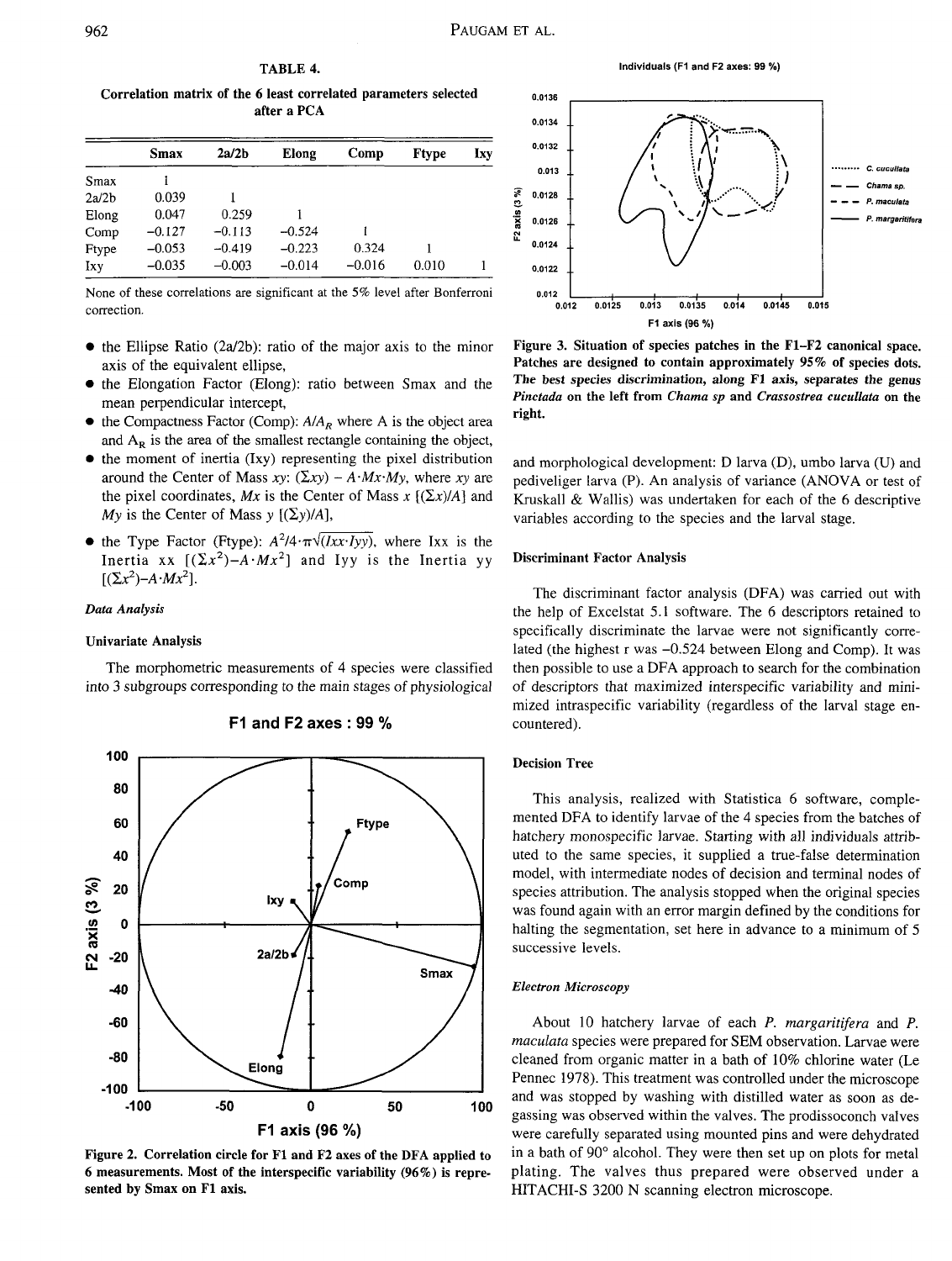Correlation matrix of the 6 least correlated parameters selected after a PCA

|       | <b>Smax</b> | 2a/2b    | Elong    | Comp     | <b>Ftype</b> | Ixv |
|-------|-------------|----------|----------|----------|--------------|-----|
| Smax  |             |          |          |          |              |     |
| 2a/2b | 0.039       |          |          |          |              |     |
| Elong | 0.047       | 0.259    |          |          |              |     |
| Comp  | $-0.127$    | $-0.113$ | $-0.524$ |          |              |     |
| Ftype | $-0.053$    | $-0.419$ | $-0.223$ | 0.324    |              |     |
| Ixy   | $-0.035$    | $-0.003$ | $-0.014$ | $-0.016$ | 0.010        |     |

None of these correlations are significant at the 5% level after Bonferroni correction.

- the Ellipse Ratio (2a/2b): ratio of the major axis to the minor axis of the equivalent ellipse,
- the Elongation Factor (Elong): ratio between Smax and the mean perpendicular intercept,
- the Compactness Factor (Comp):  $A/A_R$  where A is the object area and  $A<sub>R</sub>$  is the area of the smallest rectangle containing the object,
- the moment of inertia (Ixy) representing the pixel distribution around the Center of Mass  $xy: (\Sigma xy) - A \cdot Mx \cdot My$ , where *xy* are the pixel coordinates,  $Mx$  is the Center of Mass  $x$   $[(\Sigma x)/A]$  and *My* is the Center of Mass  $y$  [ $(\Sigma y)/A$ ],
- the Type Factor (Ftype):  $A^2/4 \cdot \pi \sqrt{(Ixx \cdot Iyy)}$ , where Ixx is the Inertia xx  $[(\Sigma x^2) - A \cdot Mx^2]$  and Iyy is the Inertia yy  $[(\Sigma x^2)$ -A·M $x^2]$ .

## *Data Analysis*

### Univariate Analysis

The morphometric measurements of 4 species were classified into 3 subgroups corresponding to the main stages of physiological



F1 and F2 axes : 99 %

Figure 2. Correlation circle for Fl and F2 axes of the DFA applied to 6 measurements. Most of the interspecific variability (96%) is represented by Smax on Fl axis.



**Individuals (F1 and F2 axes: 99 %)** 

Figure 3. Situation of species patches in the F1-F2 canonical space. Patches are designed to contain approximately 95% of species dots. The best species discrimination, along Fl axis, separates the genus *Pinctada* on the left from *Chama sp* and *Crassostrea cucullata* on the right.

and morphological development: D larva (D), umbo larva (U) and pediveliger larva (P). An analysis of variance (ANOVA or test of Kruskall & Wallis) was undertaken for each of the 6 descriptive variables according to the species and the larval stage.

## Discriminant Factor Analysis

The discriminant factor analysis (DFA) was carried out with the help of Excelstat 5.1 software. The 6 descriptors retained to specifically discriminate the larvae were not significantly correlated (the highest r was  $-0.524$  between Elong and Comp). It was then possible to use a DFA approach to search for the combination of descriptors that maximized interspecific variability and minimized intraspecific variability (regardless of the larval stage encountered).

# Decision Tree

This analysis, realized with Statistica 6 software, complemented DFA to identify larvae of the 4 species from the batches of hatchery monospecific larvae. Starting with all individuals attributed to the same species, it supplied a true-false determination model, with intermediate nodes of decision and terminal nodes of species attribution. The analysis stopped when the original species was found again with an error margin defined by the conditions for halting the segmentation, set here in advance to a minimum of 5 successive levels.

### *Electron Microscopy*

About 10 hatchery larvae of each *P. margaritifera* and *P. maculata* species were prepared for SEM observation. Larvae were cleaned from organic matter in a bath of 10% chlorine water (Le Pennec 1978). This treatment was controlled under the microscope and was stopped by washing with distilled water as soon as degassing was observed within the valves. The prodissoconch valves were carefully separated using mounted pins and were dehydrated in a bath of 90° alcohol. They were then set up on plots for metal plating. The valves thus prepared were observed under a HITACHI-S 3200 N scanning electron microscope.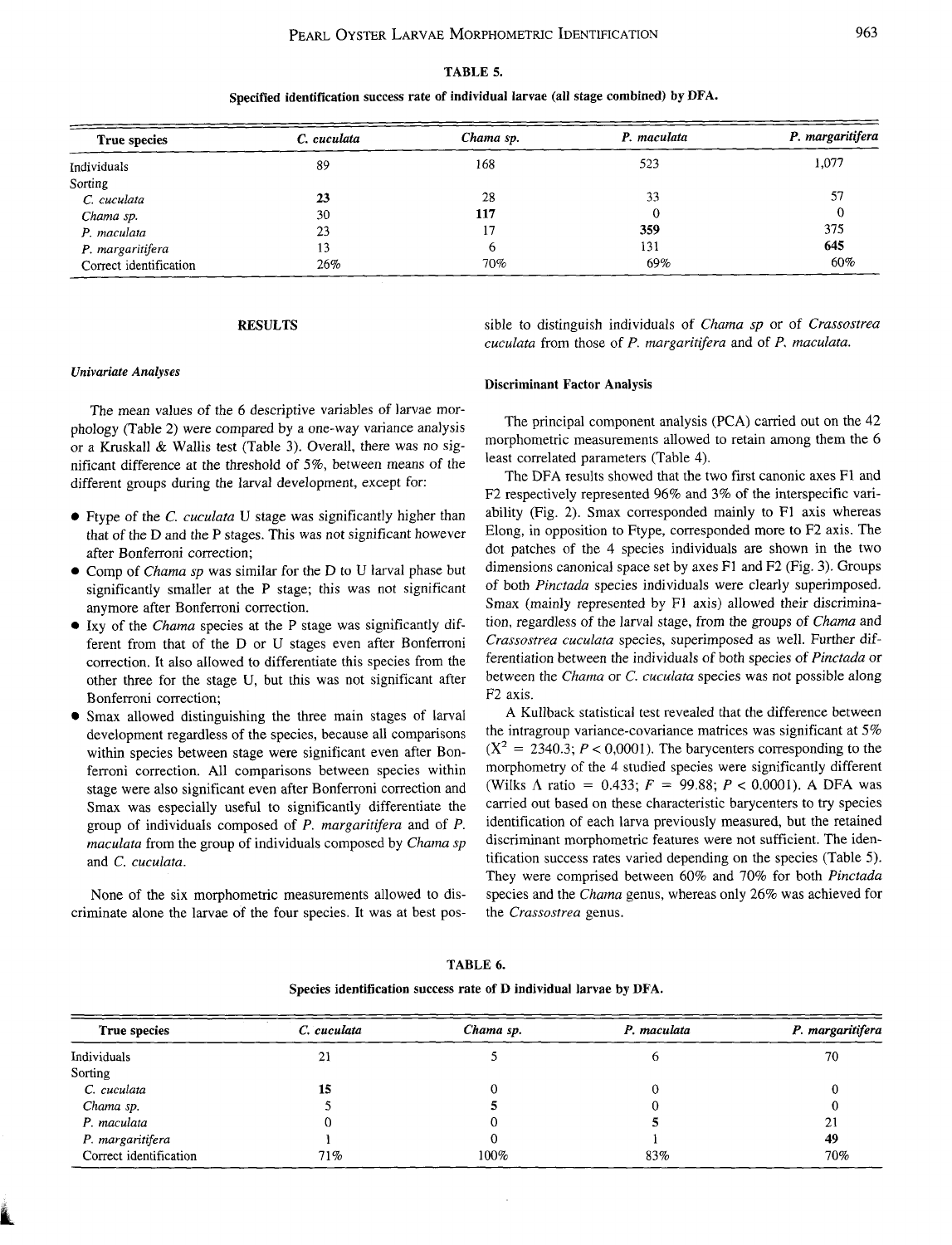Specified identification success rate of individual larvae (all stage combined) by DFA.

| True species           | C. cuculata | Chama sp. | P. maculata | P. margaritifera |
|------------------------|-------------|-----------|-------------|------------------|
| Individuals            | 89          | 168       | 523         | 1,077            |
| Sorting                |             |           |             |                  |
| C. cuculata            | 23          | 28        | 33          | 57               |
| Chama sp.              | 30          | 117       |             |                  |
| P. maculata            | 23          | 17        | 359         | 375              |
| P. margaritifera       | 13          |           | 131         | 645              |
| Correct identification | 26%         | 70%       | 69%         | 60%              |

## **RESULTS**

#### *Univariate Analyses*

The mean values of the 6 descriptive variables of larvae morphology (Table 2) were compared by a one-way variance analysis or a Kruskall & Wallis test (Table 3). Overall, there was no significant difference at the threshold of 5%, between means of the different groups during the larval development, except for:

- Ftype of the *C. cuculata* U stage was significantly higher than that of the D and the P stages. This was not significant however after Bonferroni correction;
- Comp of *Chama sp* was similar for the D to U larval phase but significantly smaller at the P stage; this was not significant anymore after Bonferroni correction.
- Ixy of the *Chama* species at the P stage was significantly different from that of the D or U stages even after Bonferroni correction. It also allowed to differentiate this species from the other three for the stage U, but this was not significant after Bonferroni correction;
- Smax allowed distinguishing the three main stages of larval development regardless of the species, because all comparisons within species between stage were significant even after Bonferroni correction. All comparisons between species within stage were also significant even after Bonferroni correction and Smax was especially useful to significantly differentiate the group of individuals composed of *P. margaritifera* and of *P. maculata* from the group of individuals composed by *Chama sp*  and *C. cuculata.*

None of the six morphometric measurements allowed to discriminate alone the larvae of the four species. It was at best possible to distinguish individuals of *Chama sp* or of *Crassostrea cuculata* from those of *P. margaritifera* and of *P. maculata.* 

#### Discriminant Factor Analysis

The principal component analysis (PCA) carried out on the 42 morphometric measurements allowed to retain among them the 6 least correlated parameters (Table 4).

The DFA results showed that the two first canonic axes Fl and F2 respectively represented 96% and 3% of the interspecific variability (Fig. 2). Smax corresponded mainly to Fl axis whereas Elong, in opposition to Ftype, corresponded more to F2 axis. The dot patches of the 4 species individuals are shown in the two dimensions canonical space set by axes Fl and F2 (Fig. 3). Groups of both *Pinctada* species individuals were clearly superimposed. Smax (mainly represented by Fl axis) allowed their discrimination, regardless of the larval stage, from the groups of *Chama* and *Crassostrea cuculata* species, superimposed as well. Further differentiation between the individuals of both species of *Pinctada* or between the *Chama* or *C. cuculata* species was not possible along F2 axis.

A Kullback statistical test revealed that the difference between the intragroup variance-covariance matrices was significant at 5%  $(X^2 = 2340.3; P < 0,0001)$ . The barycenters corresponding to the morphometry of the 4 studied species were significantly different (Wilks A ratio = 0.433; *F* = 99.88; *P <* 0.0001). A DFA was carried out based on these characteristic barycenters to try species identification of each larva previously measured, but the retained discriminant morphometric features were not sufficient. The identification success rates varied depending on the species (Table 5). They were comprised between 60% and 70% for both *Pinctada*  species and the *Chama* genus, whereas only 26% was achieved for the *Crassostrea* genus.

TABLE 6. Species identification success rate of D individual larvae by DFA.

| True species           | C. cuculata | Chama sp. | P. maculata | P. margaritifera |
|------------------------|-------------|-----------|-------------|------------------|
| Individuals            | 21          |           |             | 70               |
| Sorting                |             |           |             |                  |
| C. cuculata            | 15          |           |             |                  |
| Chama sp.              |             |           |             |                  |
| P. maculata            |             |           |             | 21               |
| P. margaritifera       |             |           |             | 49               |
| Correct identification | 71%         | 100%      | 83%         | 70%              |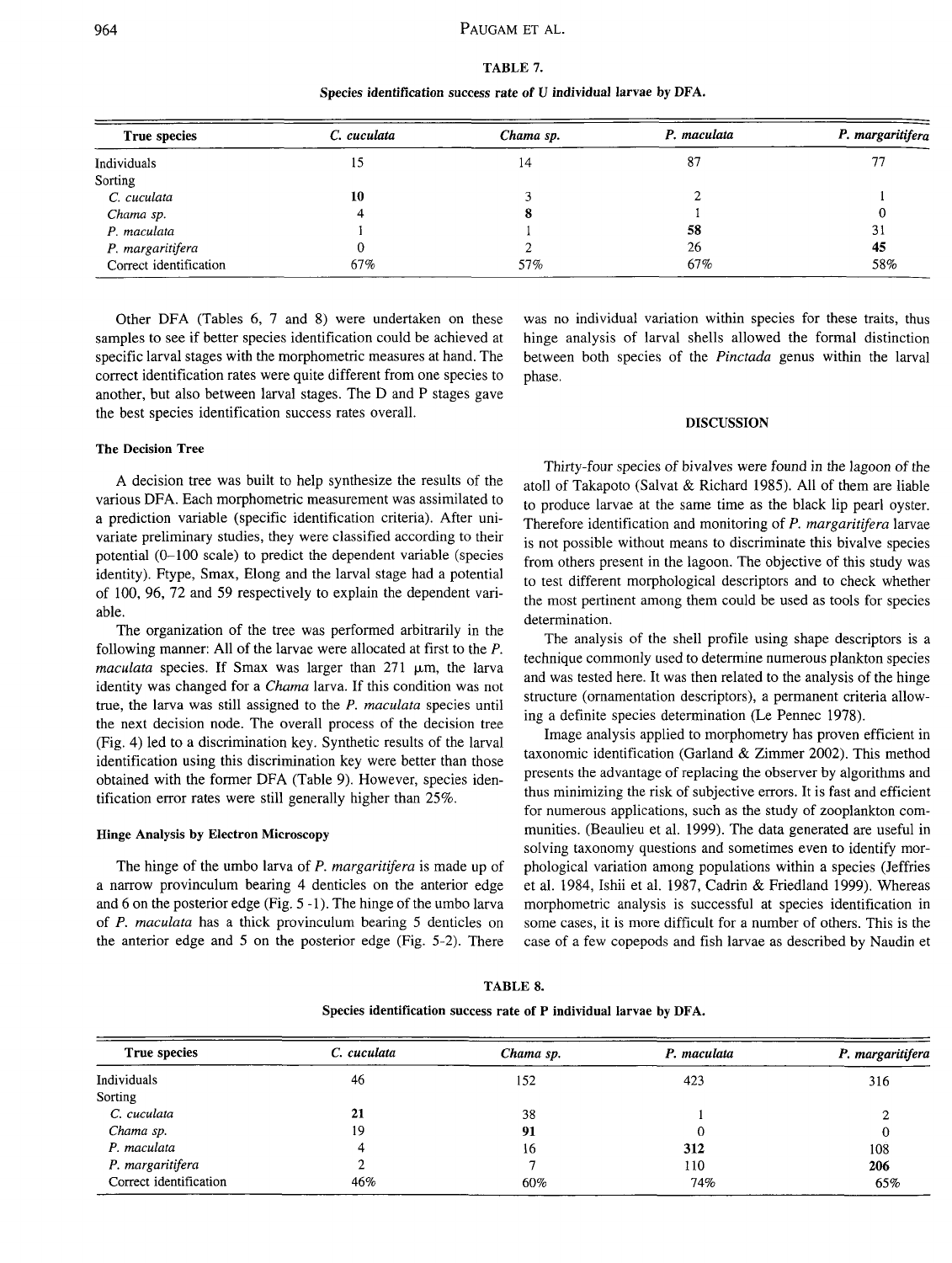### TABLE 7.

#### Species identification success rate of U individual larvae by DFA.

| True species           | C. cuculata | Chama sp. | P. maculata | P. margaritifera |
|------------------------|-------------|-----------|-------------|------------------|
| Individuals            | 15          | 14        | 87          | 77               |
| Sorting                |             |           |             |                  |
| C. cuculata            | 10          |           | ∼           |                  |
| Chama sp.              |             |           |             |                  |
| P. maculata            |             |           | 58          | 31               |
| P. margaritifera       |             |           | 26          | 45               |
| Correct identification | 67%         | 57%       | 67%         | 58%              |

Other DFA (Tables 6, 7 and 8) were undertaken on these samples to see if better species identification could be achieved at specific larval stages with the morphometric measures at hand. The correct identification rates were quite different from one species to another, but also between larval stages. The D and P stages gave the best species identification success rates overall.

The Decision Tree

A decision tree was built to help synthesize the results of the various DFA. Each morphometric measurement was assimilated to a prediction variable (specific identification criteria). After univariate preliminary studies, they were classified according to their potential (0-100 scale) to predict the dependent variable (species identity). Ftype, Smax, Elong and the larval stage had a potential of 100, 96, 72 and 59 respectively to explain the dependent variable.

The organization of the tree was performed arbitrarily in the following manner: All of the larvae were allocated at first to the *P.*   $maculata$  species. If Smax was larger than  $271 \mu m$ , the larva identity was changed for a *Chama* larva. If this condition was not true, the larva was still assigned to the *P. maculata* species until the next decision node. The overall process of the decision tree (Fig. 4) led to a discrimination key. Synthetic results of the larval identification using this discrimination key were better than those obtained with the former DFA (Table 9). However, species identification error rates were still generally higher than 25%.

# Hinge Analysis by Electron Microscopy

The hinge of the umbo larva of *P. margaritifera* is made up of a narrow provinculum bearing 4 denticles on the anterior edge and 6 on the posterior edge (Fig. 5-1). The hinge of the umbo larva of *P. maculata* has a thick provinculum bearing 5 denticles on the anterior edge and 5 on the posterior edge (Fig. 5-2). There was no individual variation within species for these traits, thus hinge analysis of larval shells allowed the formal distinction between both species of the *Pinctada* genus within the larval phase.

### DISCUSSION

Thirty-four species of bivalves were found in the lagoon of the atoll of Takapoto (Salvat & Richard 1985). All of them are liable to produce larvae at the same time as the black lip pearl oyster. Therefore identification and monitoring of *P. margaritifera* larvae is not possible without means to discriminate this bivalve species from others present in the lagoon. The objective of this study was to test different morphological descriptors and to check whether the most pertinent among them could be used as tools for species determination.

The analysis of the shell profile using shape descriptors is a technique commonly used to determine numerous plankton species and was tested here. It was then related to the analysis of the hinge structure (ornamentation descriptors), a permanent criteria allowing a definite species determination (Le Pennec 1978).

Image analysis applied to morphometry has proven efficient in taxonomic identification (Garland & Zimmer 2002). This method presents the advantage of replacing the observer by algorithms and thus minimizing the risk of subjective errors. It is fast and efficient for numerous applications, such as the study of zooplankton communities. (Beaulieu et al. 1999). The data generated are useful in solving taxonomy questions and sometimes even to identify morphological variation among populations within a species (Jeffries et al. 1984, Ishii et al. 1987, Cadrin & Friedland 1999). Whereas morphometric analysis is successful at species identification in some cases, it is more difficult for a number of others. This is the case of a few copepods and fish larvae as described by Naudin et

| True species           | C. cuculata | Chama sp. | P. maculata | P. margaritifera |
|------------------------|-------------|-----------|-------------|------------------|
| Individuals            | 46          | 152       | 423         | 316              |
| Sorting                |             |           |             |                  |
| C. cuculata            | 21          | 38        |             |                  |
| Chama sp.              | 19          | 91        |             |                  |
| P. maculata            |             | 16        | 312         | 108              |
| P. margaritifera       |             |           | 110         | 206              |
| Correct identification | 46%         | 60%       | 74%         | 65%              |

TABLE 8.

Species identification success rate of P individual larvae by DFA.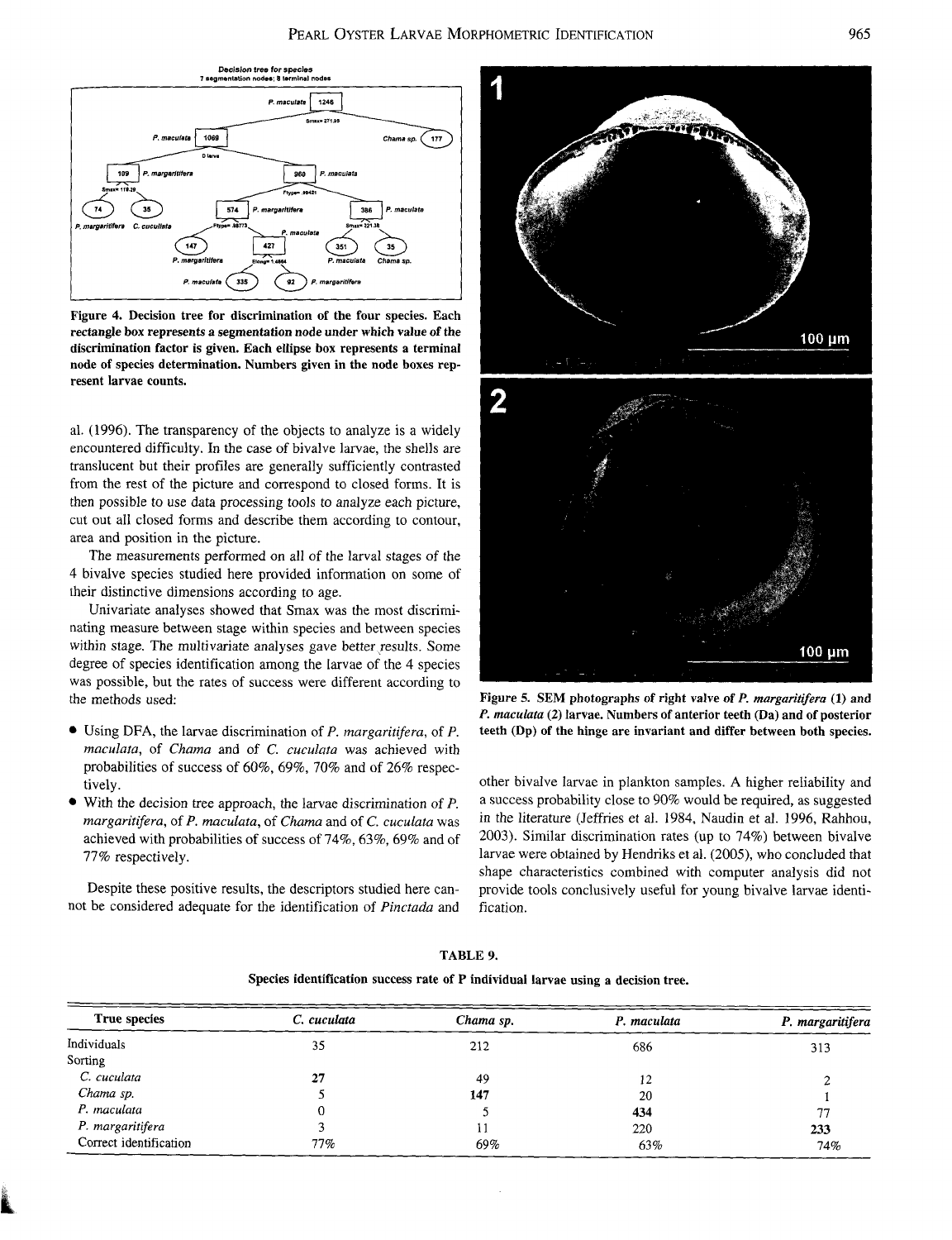

**Figure 4. Decision tree for discrimination of the four species. Each rectangle box represents a segmentation node under which value of the discrimination factor is given. Each ellipse box represents a terminal node of species determination. Numbers given in the node boxes represent larvae counts.** 

al. (1996). The transparency of the objects to analyze is a widely encountered difficulty. In the case of bivalve larvae, the shells are translucent but their profiles are generally sufficiently contrasted from the rest of the picture and correspond to closed forms. It is then possible to use data processing tools to analyze each picture, cut out all closed forms and describe them according to contour, area and position in the picture.

The measurements performed on all of the larval stages of the 4 bivalve species studied here provided information on some of their distinctive dimensions according to age.

Univariate analyses showed that Smax was the most discriminating measure between stage within species and between species within stage. The multivariate analyses gave better results. Some degree of species identification among the larvae of the 4 species was possible, but the rates of success were different according to the methods used:

- Using DFA, the larvae discrimination of *P. margaritifera,* of *P. maculata,* of *Chama* and of C. *cuculata* was achieved with probabilities of success of 60%, 69%, 70% and of 26% respectively.
- With the decision tree approach, the larvae discrimination of *P. margaritifera,* of *P. maculata,* of *Chama* and of C. *cuculata* was achieved with probabilities of success of 74%, 63%, 69% and of 77% respectively.

Despite these positive results, the descriptors studied here cannot be considered adequate for the identification of *Pinctada* and



**Figure 5. SEM photographs of right valve of** *P. margaritifera* **(1) and**  *P. maculata* **(2) larvae. Numbers of anterior teeth (Da) and of posterior teeth (Dp) of the hinge are invariant and differ between both species.** 

other bivalve larvae in plankton samples. A higher reliability and a success probability close to 90% would be required, as suggested in the literature (Jeffries et al. 1984, Naudin et al. 1996, Rahhou, 2003). Similar discrimination rates (up to 74%) between bivalve larvae were obtained by Hendriks et al. (2005), who concluded that shape characteristics combined with computer analysis did not provide tools conclusively useful for young bivalve larvae identification.

| TABLE 9.                                                                          |  |  |  |  |
|-----------------------------------------------------------------------------------|--|--|--|--|
| Species identification success rate of P individual larvae using a decision tree. |  |  |  |  |

| True species           | C. cuculata | Chama sp. | P. maculata | P. margaritifera |
|------------------------|-------------|-----------|-------------|------------------|
| Individuals            | 35          | 212       | 686         | 313              |
| Sorting                |             |           |             |                  |
| C. cuculata            | 27          | 49        | 12          |                  |
| Chama sp.              |             | 147       | 20          |                  |
| P. maculata            |             |           | 434         | 77               |
| P. margaritifera       |             |           | 220         | 233              |
| Correct identification | 77%         | 69%       | 63%         | 74%              |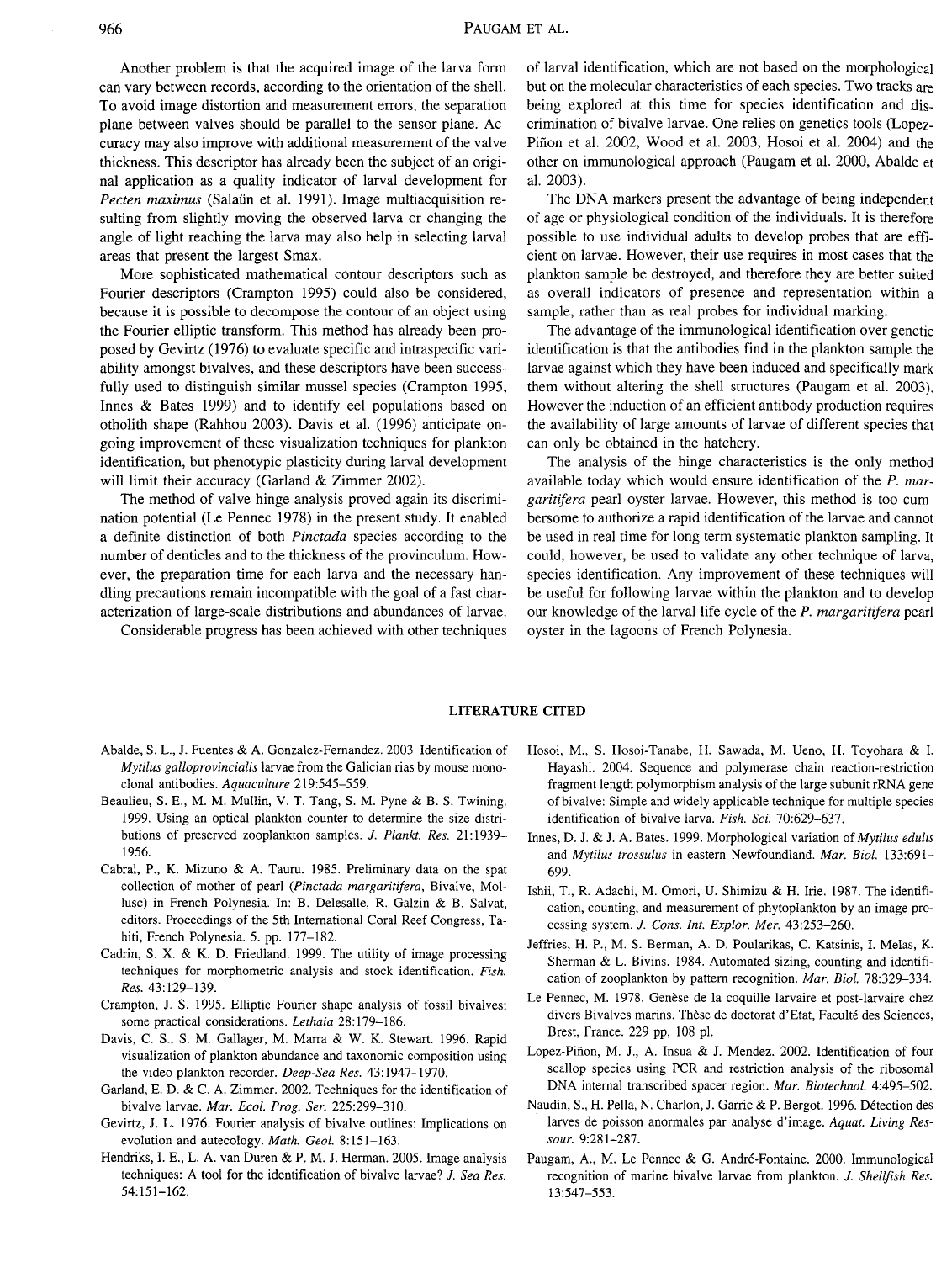Another problem is that the acquired image of the larva form can vary between records, according to the orientation of the shell. To avoid image distortion and measurement errors, the separation plane between valves should be parallel to the sensor plane. Accuracy may also improve with additional measurement of the valve thickness. This descriptor has already been the subject of an original application as a quality indicator of larval development for *Pecten maximus* (Salaün et al. 1991). Image multiacquisition resulting from slightly moving the observed larva or changing the angle of light reaching the larva may also help in selecting larval areas that present the largest Smax.

More sophisticated mathematical contour descriptors such as Fourier descriptors (Crampton 1995) could also be considered, because it is possible to decompose the contour of an object using the Fourier elliptic transform. This method has already been proposed by Gevirtz (1976) to evaluate specific and intraspecific variability amongst bivalves, and these descriptors have been successfully used to distinguish similar mussel species (Crampton 1995, Innes & Bates 1999) and to identify eel populations based on otholith shape (Rahhou 2003). Davis et al. (1996) anticipate ongoing improvement of these visualization techniques for plankton identification, but phenotypic plasticity during larval development will limit their accuracy (Garland & Zimmer 2002).

The method of valve hinge analysis proved again its discrimination potential (Le Pennec 1978) in the present study. It enabled a definite distinction of both *Pinctada* species according to the number of denticles and to the thickness of the provinculum. However, the preparation time for each larva and the necessary handling precautions remain incompatible with the goal of a fast characterization of large-scale distributions and abundances of larvae.

Considerable progress has been achieved with other techniques

of larval identification, which are not based on the morphological but on the molecular characteristics of each species. Two tracks are being explored at this time for species identification and discrimination of bivalve larvae. One relies on genetics tools (Lopez-Pinon et al. 2002, Wood et al. 2003, Hosoi et al. 2004) and the other on immunological approach (Paugam et al. 2000, Abalde et al. 2003).

The DNA markers present the advantage of being independent of age or physiological condition of the individuals. It is therefore possible to use individual adults to develop probes that are efficient on larvae. However, their use requires in most cases that the plankton sample be destroyed, and therefore they are better suited as overall indicators of presence and representation within a sample, rather than as real probes for individual marking.

The advantage of the immunological identification over genetic identification is that the antibodies find in the plankton sample the larvae against which they have been induced and specifically mark them without altering the shell structures (Paugam et al. 2003). However the induction of an efficient antibody production requires the availability of large amounts of larvae of different species that can only be obtained in the hatchery.

The analysis of the hinge characteristics is the only method available today which would ensure identification of the *P. margaritifera* pearl oyster larvae. However, this method is too cumbersome to authorize a rapid identification of the larvae and cannot be used in real time for long term systematic plankton sampling. It could, however, be used to validate any other technique of larva, species identification. Any improvement of these techniques will be useful for following larvae within the plankton and to develop our knowledge of the larval life cycle of the *P. margaritifera* pearl oyster in the lagoons of French Polynesia.

## LITERATURE CITED

- Abalde, S. L., J. Fuentes & A. Gonzalez-Fernandez. 2003. Identification of *Mytilus galloprovincialis* larvae from the Galician rias by mouse monoclonal antibodies. *Aquaculture* 219:545-559.
- Beaulieu, S. E., M. M. Mullin, V. T. Tang, S. M. Pyne & B. S. Twining. 1999. Using an optical plankton counter to determine the size distributions of preserved zooplankton samples. *J. Plankt. Res.* 21:1939- 1956.
- Cabral, P., K. Mizuno & A. Tauru. 1985. Preliminary data on the spat collection of mother of pearl *{Pinctada margaritifera,* Bivalve, Mollusc) in French Polynesia. In: B. Delesalle, R. Galzin & B. Salvat, editors. Proceedings of the 5th International Coral Reef Congress, Tahiti, French Polynesia. 5. pp. 177-182.
- Cadrin, S. X. & K. D. Friedland. 1999. The utility of image processing techniques for morphometric analysis and stock identification. *Fish. Res.* 43:129-139.
- Crampton, J. S. 1995. Elliptic Fourier shape analysis of fossil bivalves: some practical considerations. *Lethaia* 28:179-186.
- Davis, C. S., S. M. Gallager, M. Marra & W. K. Stewart. 1996. Rapid visualization of plankton abundance and taxonomic composition using the video plankton recorder. *Deep-Sea Res.* 43:1947-1970.
- Garland, E. D. & C. A. Zimmer. 2002. Techniques for the identification of bivalve larvae. *Mar. Ecol. Prog. Ser.* 225:299-310.
- Gevirtz, J. L. 1976. Fourier analysis of bivalve outlines: Implications on evolution and autecology. *Math. Geol.* 8:151-163.
- Hendriks, I. E., L. A. van Duren & P. M. J. Herman. 2005. Image analysis techniques: A tool for the identification of bivalve larvae? *J. Sea Res.*  54:151-162.
- Hosoi, M., S. Hosoi-Tanabe, H. Sawada, M. Ueno, H. Toyohara & I. Hayashi. 2004. Sequence and polymerase chain reaction-restriction fragment length polymorphism analysis of the large subunit rRNA gene of bivalve: Simple and widely applicable technique for multiple species identification of bivalve larva. Fish. Sci. 70:629-637.
- Innes, D. J. & J. A. Bates. 1999. Morphological variation of *Mytilus edulis*  and *Mytilus trossulus* in eastern Newfoundland. *Mar. Biol.* 133:691- 699.
- Ishii, T., R. Adachi, M. Omori, U. Shimizu & H. Irie. 1987. The identification, counting, and measurement of phytoplankton by an image processing system. *J. Cons. Int. Explor. Mer.* 43:253-260.
- Jeffries, H. P., M. S. Berman, A. D. Poularikas, C. Katsinis, I. Melas, K. Sherman & L. Bivins. 1984. Automated sizing, counting and identification of zooplankton by pattern recognition. *Mar. Biol.* 78:329-334.
- Le Pennec, M. 1978. Genèse de la coquille larvaire et post-larvaire chez divers Bivalves marins. Thèse de doctorat d'Etat, Faculté des Sciences, Brest, France. 229 pp, 108 pi.
- Lopez-Piñon, M. J., A. Insua & J. Mendez. 2002. Identification of four scallop species using PCR and restriction analysis of the ribosomal DNA internal transcribed spacer region. *Mar. Biotechnol.* 4:495-502.
- Naudin, S., H. Pella, N. Charlon, J. Garric & P. Bergot. 1996. Détection des larves de poisson anormales par analyse d'image. *Aquat. Living Ressour.* 9:281-287.
- Paugam, A., M. Le Pennec & G. Andre-Fontaine. 2000. Immunological recognition of marine bivalve larvae from plankton. *J. Shellfish Res.*  13:547-553.